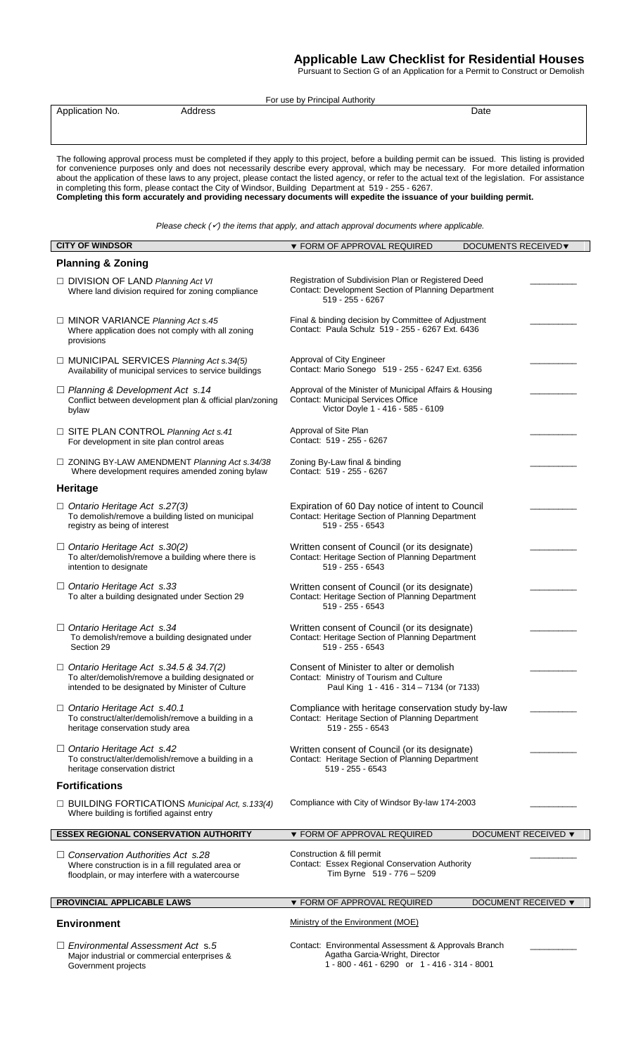## **Applicable Law Checklist for Residential Houses**

Pursuant to Section G of an Application for a Permit to Construct or Demolish

| For use by Principal Authority                                                                                                                                                                                                                                                                                                                                                                                                                                                                                                                                                                                                                                                      |                                                                                                                                           |                            |
|-------------------------------------------------------------------------------------------------------------------------------------------------------------------------------------------------------------------------------------------------------------------------------------------------------------------------------------------------------------------------------------------------------------------------------------------------------------------------------------------------------------------------------------------------------------------------------------------------------------------------------------------------------------------------------------|-------------------------------------------------------------------------------------------------------------------------------------------|----------------------------|
| Application No.<br>Address                                                                                                                                                                                                                                                                                                                                                                                                                                                                                                                                                                                                                                                          | Date                                                                                                                                      |                            |
| The following approval process must be completed if they apply to this project, before a building permit can be issued. This listing is provided<br>for convenience purposes only and does not necessarily describe every approval, which may be necessary. For more detailed information<br>about the application of these laws to any project, please contact the listed agency, or refer to the actual text of the legislation. For assistance<br>in completing this form, please contact the City of Windsor, Building Department at 519 - 255 - 6267.<br>Completing this form accurately and providing necessary documents will expedite the issuance of your building permit. |                                                                                                                                           |                            |
| Please check $(\checkmark)$ the items that apply, and attach approval documents where applicable.                                                                                                                                                                                                                                                                                                                                                                                                                                                                                                                                                                                   |                                                                                                                                           |                            |
| <b>CITY OF WINDSOR</b>                                                                                                                                                                                                                                                                                                                                                                                                                                                                                                                                                                                                                                                              | ▼ FORM OF APPROVAL REQUIRED                                                                                                               | <b>DOCUMENTS RECEIVED▼</b> |
| <b>Planning &amp; Zoning</b>                                                                                                                                                                                                                                                                                                                                                                                                                                                                                                                                                                                                                                                        |                                                                                                                                           |                            |
| $\Box$ DIVISION OF LAND Planning Act VI<br>Where land division required for zoning compliance                                                                                                                                                                                                                                                                                                                                                                                                                                                                                                                                                                                       | Registration of Subdivision Plan or Registered Deed<br>Contact: Development Section of Planning Department<br>519 - 255 - 6267            |                            |
| □ MINOR VARIANCE Planning Act s.45<br>Where application does not comply with all zoning<br>provisions                                                                                                                                                                                                                                                                                                                                                                                                                                                                                                                                                                               | Final & binding decision by Committee of Adjustment<br>Contact: Paula Schulz 519 - 255 - 6267 Ext. 6436                                   |                            |
| MUNICIPAL SERVICES Planning Act s.34(5)<br>Availability of municipal services to service buildings                                                                                                                                                                                                                                                                                                                                                                                                                                                                                                                                                                                  | Approval of City Engineer<br>Contact: Mario Sonego 519 - 255 - 6247 Ext. 6356                                                             |                            |
| $\Box$ Planning & Development Act s.14<br>Conflict between development plan & official plan/zoning<br>bylaw                                                                                                                                                                                                                                                                                                                                                                                                                                                                                                                                                                         | Approval of the Minister of Municipal Affairs & Housing<br><b>Contact: Municipal Services Office</b><br>Victor Doyle 1 - 416 - 585 - 6109 |                            |
| □ SITE PLAN CONTROL Planning Act s.41<br>For development in site plan control areas                                                                                                                                                                                                                                                                                                                                                                                                                                                                                                                                                                                                 | Approval of Site Plan<br>Contact: 519 - 255 - 6267                                                                                        |                            |
| $\Box$ ZONING BY-LAW AMENDMENT Planning Act s.34/38<br>Where development requires amended zoning bylaw                                                                                                                                                                                                                                                                                                                                                                                                                                                                                                                                                                              | Zoning By-Law final & binding<br>Contact: 519 - 255 - 6267                                                                                |                            |
| Heritage                                                                                                                                                                                                                                                                                                                                                                                                                                                                                                                                                                                                                                                                            |                                                                                                                                           |                            |
| $\Box$ Ontario Heritage Act s.27(3)<br>To demolish/remove a building listed on municipal<br>registry as being of interest                                                                                                                                                                                                                                                                                                                                                                                                                                                                                                                                                           | Expiration of 60 Day notice of intent to Council<br>Contact: Heritage Section of Planning Department<br>519 - 255 - 6543                  |                            |
| $\Box$ Ontario Heritage Act s.30(2)<br>To alter/demolish/remove a building where there is<br>intention to designate                                                                                                                                                                                                                                                                                                                                                                                                                                                                                                                                                                 | Written consent of Council (or its designate)<br>Contact: Heritage Section of Planning Department<br>519 - 255 - 6543                     |                            |
| $\Box$ Ontario Heritage Act s.33<br>To alter a building designated under Section 29                                                                                                                                                                                                                                                                                                                                                                                                                                                                                                                                                                                                 | Written consent of Council (or its designate)<br>Contact: Heritage Section of Planning Department<br>519 - 255 - 6543                     |                            |
| $\Box$ Ontario Heritage Act s.34<br>To demolish/remove a building designated under<br>Section 29                                                                                                                                                                                                                                                                                                                                                                                                                                                                                                                                                                                    | Written consent of Council (or its designate)<br>Contact: Heritage Section of Planning Department<br>519 - 255 - 6543                     |                            |
| $\Box$ Ontario Heritage Act s.34.5 & 34.7(2)<br>To alter/demolish/remove a building designated or<br>intended to be designated by Minister of Culture                                                                                                                                                                                                                                                                                                                                                                                                                                                                                                                               | Consent of Minister to alter or demolish<br>Contact: Ministry of Tourism and Culture<br>Paul King 1 - 416 - 314 - 7134 (or 7133)          |                            |
| $\Box$ Ontario Heritage Act s.40.1<br>To construct/alter/demolish/remove a building in a<br>heritage conservation study area                                                                                                                                                                                                                                                                                                                                                                                                                                                                                                                                                        | Compliance with heritage conservation study by-law<br>Contact: Heritage Section of Planning Department<br>$519 - 255 - 6543$              |                            |
| $\Box$ Ontario Heritage Act s.42<br>To construct/alter/demolish/remove a building in a<br>heritage conservation district                                                                                                                                                                                                                                                                                                                                                                                                                                                                                                                                                            | Written consent of Council (or its designate)<br>Contact: Heritage Section of Planning Department<br>519 - 255 - 6543                     |                            |
| <b>Fortifications</b>                                                                                                                                                                                                                                                                                                                                                                                                                                                                                                                                                                                                                                                               |                                                                                                                                           |                            |
| $\Box$ BUILDING FORTICATIONS Municipal Act, s.133(4)<br>Where building is fortified against entry                                                                                                                                                                                                                                                                                                                                                                                                                                                                                                                                                                                   | Compliance with City of Windsor By-law 174-2003                                                                                           |                            |
| <b>ESSEX REGIONAL CONSERVATION AUTHORITY</b>                                                                                                                                                                                                                                                                                                                                                                                                                                                                                                                                                                                                                                        | ▼ FORM OF APPROVAL REQUIRED                                                                                                               | <b>DOCUMENT RECEIVED ▼</b> |
| $\Box$ Conservation Authorities Act s.28<br>Where construction is in a fill regulated area or<br>floodplain, or may interfere with a watercourse                                                                                                                                                                                                                                                                                                                                                                                                                                                                                                                                    | Construction & fill permit<br>Contact: Essex Regional Conservation Authority<br>Tim Byrne 519 - 776 - 5209                                |                            |
| PROVINCIAL APPLICABLE LAWS                                                                                                                                                                                                                                                                                                                                                                                                                                                                                                                                                                                                                                                          | ▼ FORM OF APPROVAL REQUIRED                                                                                                               | DOCUMENT RECEIVED ▼        |
| <b>Environment</b>                                                                                                                                                                                                                                                                                                                                                                                                                                                                                                                                                                                                                                                                  | Ministry of the Environment (MOE)                                                                                                         |                            |
| $\Box$ Environmental Assessment Act s.5                                                                                                                                                                                                                                                                                                                                                                                                                                                                                                                                                                                                                                             | Contact: Environmental Assessment & Approvals Branch                                                                                      |                            |

 *Environmental Assessment Act* s*.5* Major industrial or commercial enterprises & Government projects Agatha Garcia-Wright, Director 1 - 800 - 461 - 6290 or 1 - 416 - 314 - 8001